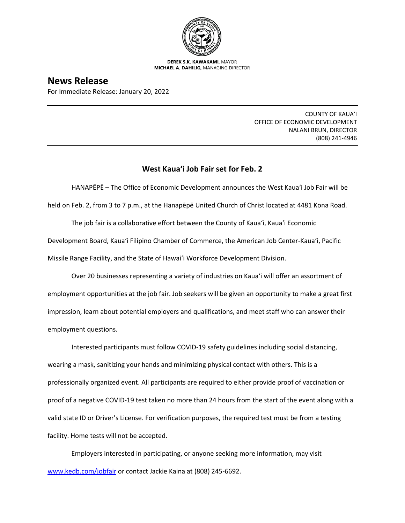

**DEREK S.K. KAWAKAMI,** MAYOR **MICHAEL A. DAHILIG,** MANAGING DIRECTOR

## **News Release**

For Immediate Release: January 20, 2022

COUNTY OF KAUA'I OFFICE OF ECONOMIC DEVELOPMENT NALANI BRUN, DIRECTOR (808) 241-4946

## **West Kaua'i Job Fair set for Feb. 2**

HANAPĒPĒ – The Office of Economic Development announces the West Kaua'i Job Fair will be held on Feb. 2, from 3 to 7 p.m., at the Hanapēpē United Church of Christ located at 4481 Kona Road.

The job fair is a collaborative effort between the County of Kaua'i, Kaua'i Economic Development Board, Kaua'i Filipino Chamber of Commerce, the American Job Center-Kaua'i, Pacific Missile Range Facility, and the State of Hawai'i Workforce Development Division.

Over 20 businesses representing a variety of industries on Kaua'i will offer an assortment of employment opportunities at the job fair. Job seekers will be given an opportunity to make a great first impression, learn about potential employers and qualifications, and meet staff who can answer their employment questions.

Interested participants must follow COVID-19 safety guidelines including social distancing, wearing a mask, sanitizing your hands and minimizing physical contact with others. This is a professionally organized event. All participants are required to either provide proof of vaccination or proof of a negative COVID-19 test taken no more than 24 hours from the start of the event along with a valid state ID or Driver's License. For verification purposes, the required test must be from a testing facility. Home tests will not be accepted.

Employers interested in participating, or anyone seeking more information, may visit [www.kedb.com/jobfair](http://www.kedb.com/jobfair) or contact Jackie Kaina at (808) 245-6692.